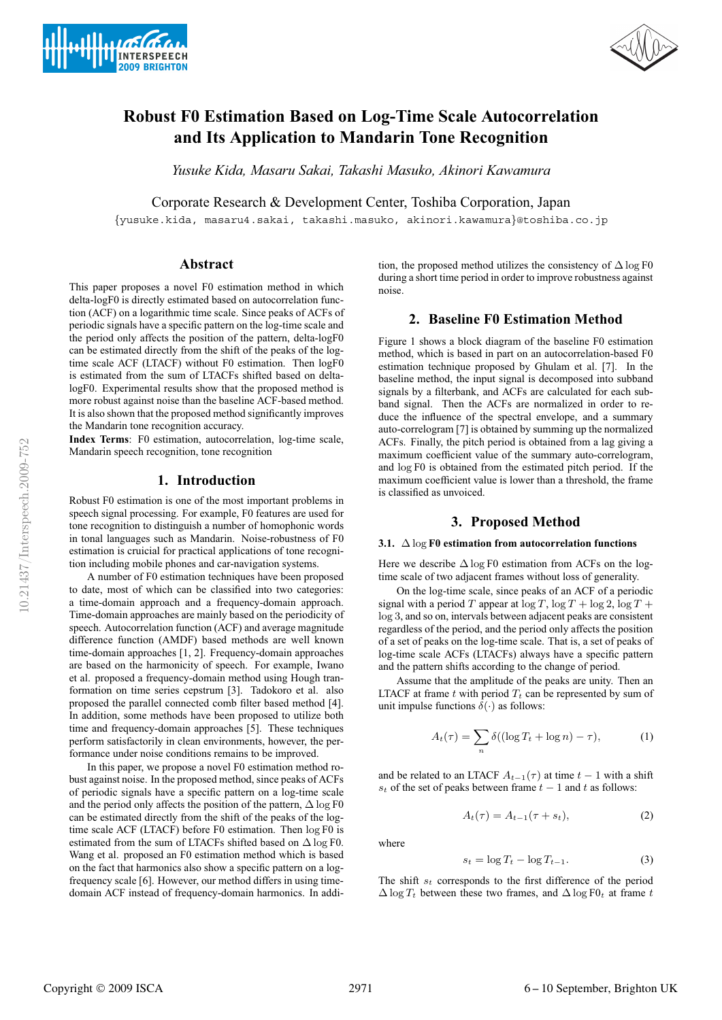



# **Robust F0 Estimation Based on Log-Time Scale Autocorrelation and Its Application to Mandarin Tone Recognition**

*Yusuke Kida, Masaru Sakai, Takashi Masuko, Akinori Kawamura*

Corporate Research & Development Center, Toshiba Corporation, Japan

{yusuke.kida, masaru4.sakai, takashi.masuko, akinori.kawamura}@toshiba.co.jp

# **Abstract**

This paper proposes a novel F0 estimation method in which delta-logF0 is directly estimated based on autocorrelation function (ACF) on a logarithmic time scale. Since peaks of ACFs of periodic signals have a specific pattern on the log-time scale and the period only affects the position of the pattern, delta-logF0 can be estimated directly from the shift of the peaks of the logtime scale ACF (LTACF) without F0 estimation. Then logF0 is estimated from the sum of LTACFs shifted based on deltalogF0. Experimental results show that the proposed method is more robust against noise than the baseline ACF-based method. It is also shown that the proposed method significantly improves the Mandarin tone recognition accuracy.

**Index Terms**: F0 estimation, autocorrelation, log-time scale, Mandarin speech recognition, tone recognition

### **1. Introduction**

Robust F0 estimation is one of the most important problems in speech signal processing. For example, F0 features are used for tone recognition to distinguish a number of homophonic words in tonal languages such as Mandarin. Noise-robustness of F0 estimation is cruicial for practical applications of tone recognition including mobile phones and car-navigation systems.

A number of F0 estimation techniques have been proposed to date, most of which can be classified into two categories: a time-domain approach and a frequency-domain approach. Time-domain approaches are mainly based on the periodicity of speech. Autocorrelation function (ACF) and average magnitude difference function (AMDF) based methods are well known time-domain approaches [1, 2]. Frequency-domain approaches are based on the harmonicity of speech. For example, Iwano et al. proposed a frequency-domain method using Hough tranformation on time series cepstrum [3]. Tadokoro et al. also proposed the parallel connected comb filter based method [4]. In addition, some methods have been proposed to utilize both time and frequency-domain approaches [5]. These techniques perform satisfactorily in clean environments, however, the performance under noise conditions remains to be improved.

In this paper, we propose a novel F0 estimation method robust against noise. In the proposed method, since peaks of ACFs of periodic signals have a specific pattern on a log-time scale and the period only affects the position of the pattern,  $\Delta \log F0$ can be estimated directly from the shift of the peaks of the logtime scale ACF (LTACF) before F0 estimation. Then log F0 is estimated from the sum of LTACFs shifted based on  $\Delta \log F0$ . Wang et al. proposed an F0 estimation method which is based on the fact that harmonics also show a specific pattern on a logfrequency scale [6]. However, our method differs in using timedomain ACF instead of frequency-domain harmonics. In addi-

tion, the proposed method utilizes the consistency of  $\Delta \log F0$ during a short time period in order to improve robustness against noise.

# **2. Baseline F0 Estimation Method**

Figure 1 shows a block diagram of the baseline F0 estimation method, which is based in part on an autocorrelation-based F0 estimation technique proposed by Ghulam et al. [7]. In the baseline method, the input signal is decomposed into subband signals by a filterbank, and ACFs are calculated for each subband signal. Then the ACFs are normalized in order to reduce the influence of the spectral envelope, and a summary auto-correlogram [7] is obtained by summing up the normalized ACFs. Finally, the pitch period is obtained from a lag giving a maximum coefficient value of the summary auto-correlogram, and log F0 is obtained from the estimated pitch period. If the maximum coefficient value is lower than a threshold, the frame is classified as unvoiced.

# **3. Proposed Method**

### **3.1.** Δ log **F0 estimation from autocorrelation functions**

Here we describe  $\Delta \log F0$  estimation from ACFs on the logtime scale of two adjacent frames without loss of generality.

On the log-time scale, since peaks of an ACF of a periodic signal with a period T appear at  $\log T$ ,  $\log T + \log 2$ ,  $\log T +$ log 3, and so on, intervals between adjacent peaks are consistent regardless of the period, and the period only affects the position of a set of peaks on the log-time scale. That is, a set of peaks of log-time scale ACFs (LTACFs) always have a specific pattern and the pattern shifts according to the change of period.

Assume that the amplitude of the peaks are unity. Then an LTACF at frame  $t$  with period  $T_t$  can be represented by sum of unit impulse functions  $\delta(\cdot)$  as follows:

$$
A_t(\tau) = \sum_n \delta((\log T_t + \log n) - \tau), \tag{1}
$$

and be related to an LTACF  $A_{t-1}(\tau)$  at time  $t-1$  with a shift  $s_t$  of the set of peaks between frame  $t - 1$  and t as follows:

$$
A_t(\tau) = A_{t-1}(\tau + s_t),\tag{2}
$$

where

$$
s_t = \log T_t - \log T_{t-1}.
$$
 (3)

The shift  $s_t$  corresponds to the first difference of the period  $\Delta \log T_t$  between these two frames, and  $\Delta \log F0_t$  at frame t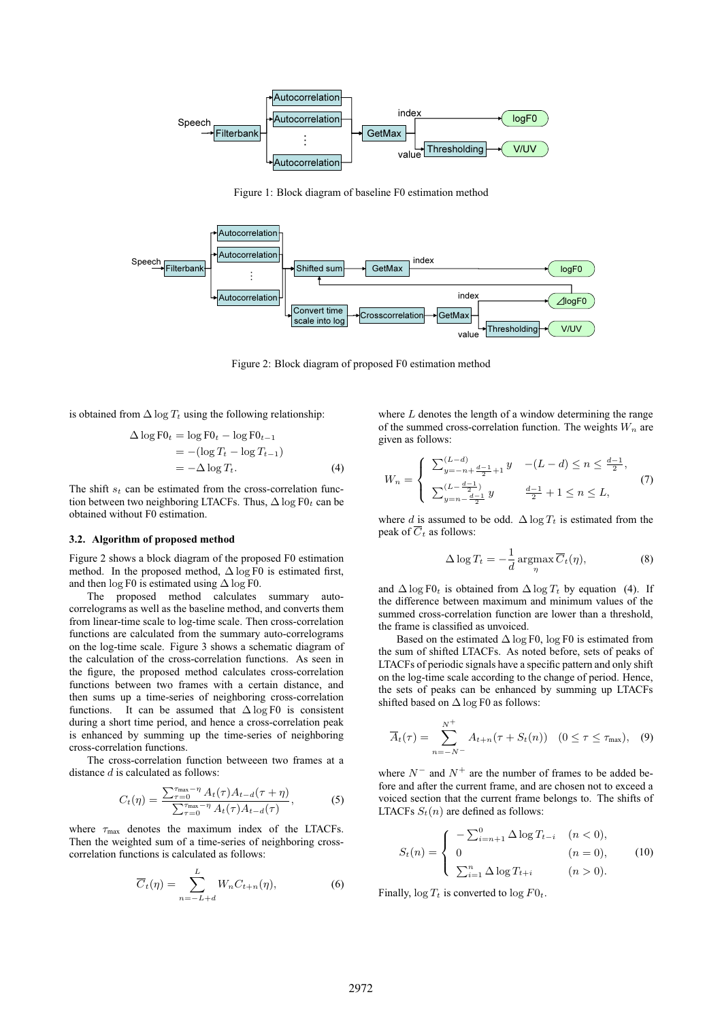

Figure 1: Block diagram of baseline F0 estimation method



Figure 2: Block diagram of proposed F0 estimation method

is obtained from  $\Delta \log T_t$  using the following relationship:

$$
\Delta \log \text{F0}_t = \log \text{F0}_t - \log \text{F0}_{t-1}
$$
  
= -(\log T\_t - \log T\_{t-1})  
= -\Delta \log T\_t. (4)

The shift  $s_t$  can be estimated from the cross-correlation function between two neighboring LTACFs. Thus,  $\Delta \log F0_t$  can be obtained without F0 estimation.

#### **3.2. Algorithm of proposed method**

Figure 2 shows a block diagram of the proposed F0 estimation method. In the proposed method,  $\Delta \log F0$  is estimated first, and then  $\log$  F0 is estimated using  $\Delta$  log F0.

The proposed method calculates summary autocorrelograms as well as the baseline method, and converts them from linear-time scale to log-time scale. Then cross-correlation functions are calculated from the summary auto-correlograms on the log-time scale. Figure 3 shows a schematic diagram of the calculation of the cross-correlation functions. As seen in the figure, the proposed method calculates cross-correlation functions between two frames with a certain distance, and then sums up a time-series of neighboring cross-correlation functions. It can be assumed that  $\Delta \log F0$  is consistent during a short time period, and hence a cross-correlation peak is enhanced by summing up the time-series of neighboring cross-correlation functions.

The cross-correlation function betweeen two frames at a distance  $d$  is calculated as follows:

$$
C_t(\eta) = \frac{\sum_{\tau=0}^{\tau_{\text{max}} - \eta} A_t(\tau) A_{t-d}(\tau + \eta)}{\sum_{\tau=0}^{\tau_{\text{max}} - \eta} A_t(\tau) A_{t-d}(\tau)},
$$
(5)

where  $\tau_{\text{max}}$  denotes the maximum index of the LTACFs. Then the weighted sum of a time-series of neighboring crosscorrelation functions is calculated as follows:

$$
\overline{C}_t(\eta) = \sum_{n=-L+d}^{L} W_n C_{t+n}(\eta), \tag{6}
$$

where  $L$  denotes the length of a window determining the range of the summed cross-correlation function. The weights  $W_n$  are given as follows:

$$
W_n = \begin{cases} \sum_{y=-n+\frac{d-1}{2}+1}^{(L-d)} y & -(L-d) \le n \le \frac{d-1}{2}, \\ \sum_{y=n-\frac{d-1}{2}}^{(L-\frac{d-1}{2})} y & \frac{d-1}{2}+1 \le n \le L, \end{cases}
$$
(7)

where d is assumed to be odd.  $\Delta \log T_t$  is estimated from the peak of  $\overline{C}_t$  as follows:

$$
\Delta \log T_t = -\frac{1}{d} \operatorname{argmax}_{\eta} \overline{C}_t(\eta), \tag{8}
$$

and  $\Delta \log F0_t$  is obtained from  $\Delta \log T_t$  by equation (4). If the difference between maximum and minimum values of the summed cross-correlation function are lower than a threshold, the frame is classified as unvoiced.

Based on the estimated  $\Delta \log F0$ , log F0 is estimated from the sum of shifted LTACFs. As noted before, sets of peaks of LTACFs of periodic signals have a specific pattern and only shift on the log-time scale according to the change of period. Hence, the sets of peaks can be enhanced by summing up LTACFs shifted based on  $\Delta \log F0$  as follows:

$$
\overline{A}_t(\tau) = \sum_{n=-N^-}^{N^+} A_{t+n}(\tau + S_t(n)) \quad (0 \le \tau \le \tau_{\text{max}}), \quad (9)
$$

where  $N^-$  and  $N^+$  are the number of frames to be added before and after the current frame, and are chosen not to exceed a voiced section that the current frame belongs to. The shifts of LTACFs  $S_t(n)$  are defined as follows:

$$
S_t(n) = \begin{cases} -\sum_{i=n+1}^{0} \Delta \log T_{t-i} & (n < 0), \\ 0 & (n = 0), \\ \sum_{i=1}^{n} \Delta \log T_{t+i} & (n > 0). \end{cases}
$$
(10)

Finally,  $\log T_t$  is converted to  $\log F0_t$ .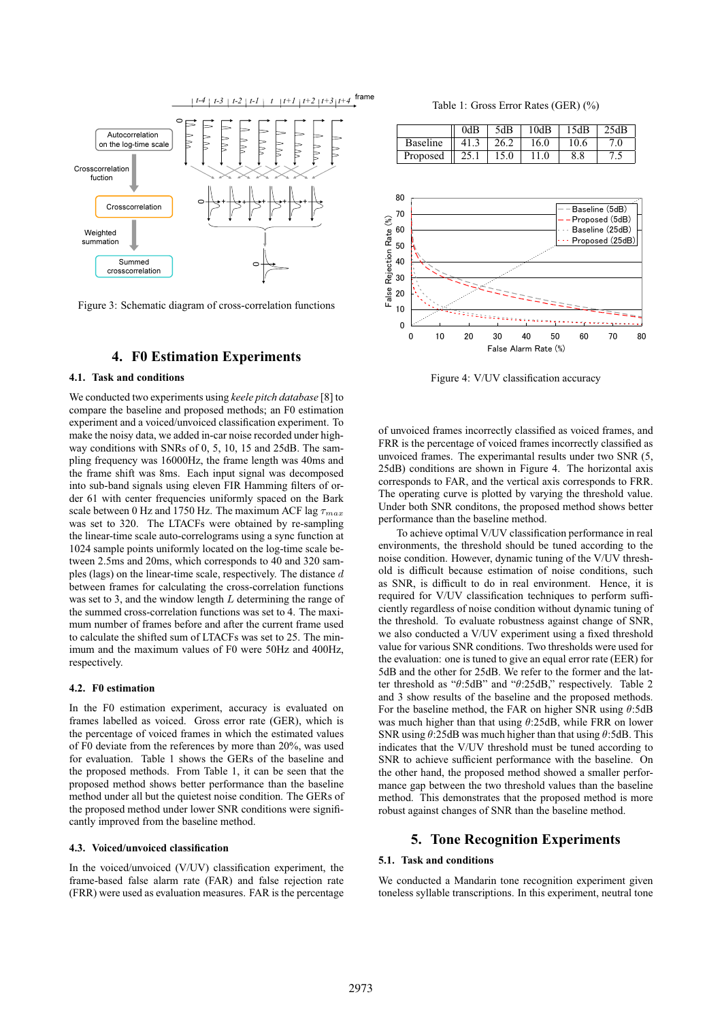

Figure 3: Schematic diagram of cross-correlation functions

### **4. F0 Estimation Experiments**

### **4.1. Task and conditions**

We conducted two experiments using *keele pitch database* [8] to compare the baseline and proposed methods; an F0 estimation experiment and a voiced/unvoiced classification experiment. To make the noisy data, we added in-car noise recorded under highway conditions with SNRs of 0, 5, 10, 15 and 25dB. The sampling frequency was 16000Hz, the frame length was 40ms and the frame shift was 8ms. Each input signal was decomposed into sub-band signals using eleven FIR Hamming filters of order 61 with center frequencies uniformly spaced on the Bark scale between 0 Hz and 1750 Hz. The maximum ACF lag  $\tau_{max}$ was set to 320. The LTACFs were obtained by re-sampling the linear-time scale auto-correlograms using a sync function at 1024 sample points uniformly located on the log-time scale between 2.5ms and 20ms, which corresponds to 40 and 320 samples (lags) on the linear-time scale, respectively. The distance d between frames for calculating the cross-correlation functions was set to 3, and the window length  $L$  determining the range of the summed cross-correlation functions was set to 4. The maximum number of frames before and after the current frame used to calculate the shifted sum of LTACFs was set to 25. The minimum and the maximum values of F0 were 50Hz and 400Hz, respectively.

#### **4.2. F0 estimation**

In the F0 estimation experiment, accuracy is evaluated on frames labelled as voiced. Gross error rate (GER), which is the percentage of voiced frames in which the estimated values of F0 deviate from the references by more than 20%, was used for evaluation. Table 1 shows the GERs of the baseline and the proposed methods. From Table 1, it can be seen that the proposed method shows better performance than the baseline method under all but the quietest noise condition. The GERs of the proposed method under lower SNR conditions were significantly improved from the baseline method.

#### **4.3. Voiced/unvoiced classification**

In the voiced/unvoiced (V/UV) classification experiment, the frame-based false alarm rate (FAR) and false rejection rate (FRR) were used as evaluation measures. FAR is the percentage

Table 1: Gross Error Rates (GER) (%)

|                 | 0dB  | 5dB  | 10dB | 15dB | 25dB             |
|-----------------|------|------|------|------|------------------|
| <b>Baseline</b> | 41.3 | 26.2 | 16.0 | 10.6 | 7.0              |
| Proposed        | 25.1 | 15.0 | 1.0  | 8.8  | $\overline{1}$ . |



Figure 4: V/UV classification accuracy

of unvoiced frames incorrectly classified as voiced frames, and FRR is the percentage of voiced frames incorrectly classified as unvoiced frames. The experimantal results under two SNR (5, 25dB) conditions are shown in Figure 4. The horizontal axis corresponds to FAR, and the vertical axis corresponds to FRR. The operating curve is plotted by varying the threshold value. Under both SNR conditons, the proposed method shows better performance than the baseline method.

To achieve optimal V/UV classification performance in real environments, the threshold should be tuned according to the noise condition. However, dynamic tuning of the V/UV threshold is difficult because estimation of noise conditions, such as SNR, is difficult to do in real environment. Hence, it is required for V/UV classification techniques to perform sufficiently regardless of noise condition without dynamic tuning of the threshold. To evaluate robustness against change of SNR, we also conducted a V/UV experiment using a fixed threshold value for various SNR conditions. Two thresholds were used for the evaluation: one is tuned to give an equal error rate (EER) for 5dB and the other for 25dB. We refer to the former and the latter threshold as " $\theta$ :5dB" and " $\theta$ :25dB," respectively. Table 2 and 3 show results of the baseline and the proposed methods. For the baseline method, the FAR on higher SNR using  $\theta$ :5dB was much higher than that using θ:25dB, while FRR on lower SNR using  $\theta$ :25dB was much higher than that using  $\theta$ :5dB. This indicates that the V/UV threshold must be tuned according to SNR to achieve sufficient performance with the baseline. On the other hand, the proposed method showed a smaller performance gap between the two threshold values than the baseline method. This demonstrates that the proposed method is more robust against changes of SNR than the baseline method.

# **5. Tone Recognition Experiments**

### **5.1. Task and conditions**

We conducted a Mandarin tone recognition experiment given toneless syllable transcriptions. In this experiment, neutral tone